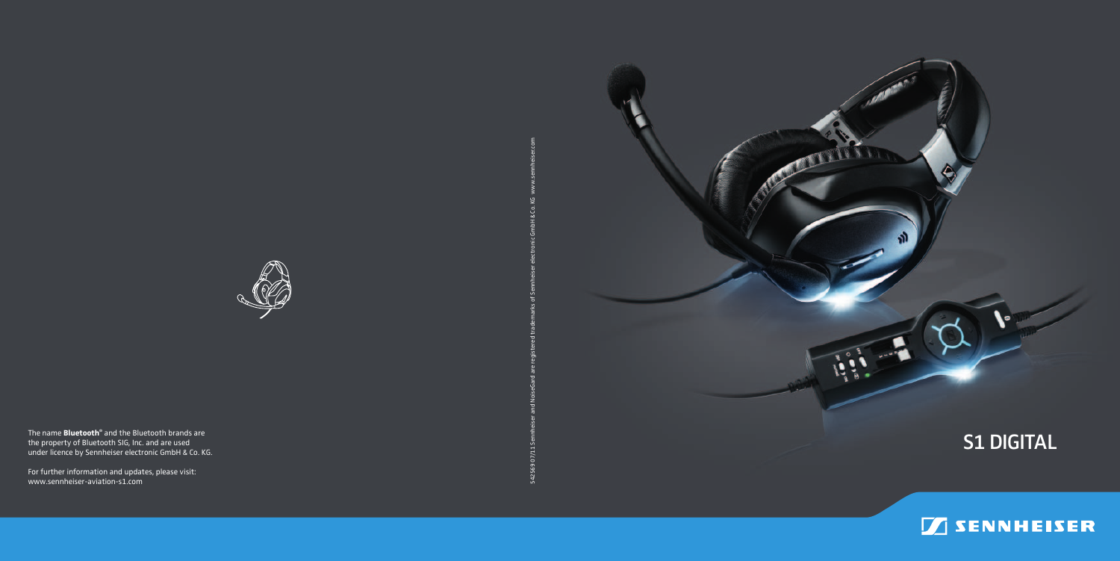



542569 07/11 Sennheiser and NoiseGard are registered trademarks of Sennheiser electronic GmbH & Co. KG www.sennheiser.com

542569 07/11



The name **Bluetooth ®** and the Bluetooth brands are the property of Bluetooth SIG, Inc. and are used under licence by Sennheiser electronic GmbH & Co. KG.

For further information and updates, please visit: www.sennheiser-aviation-s1.com

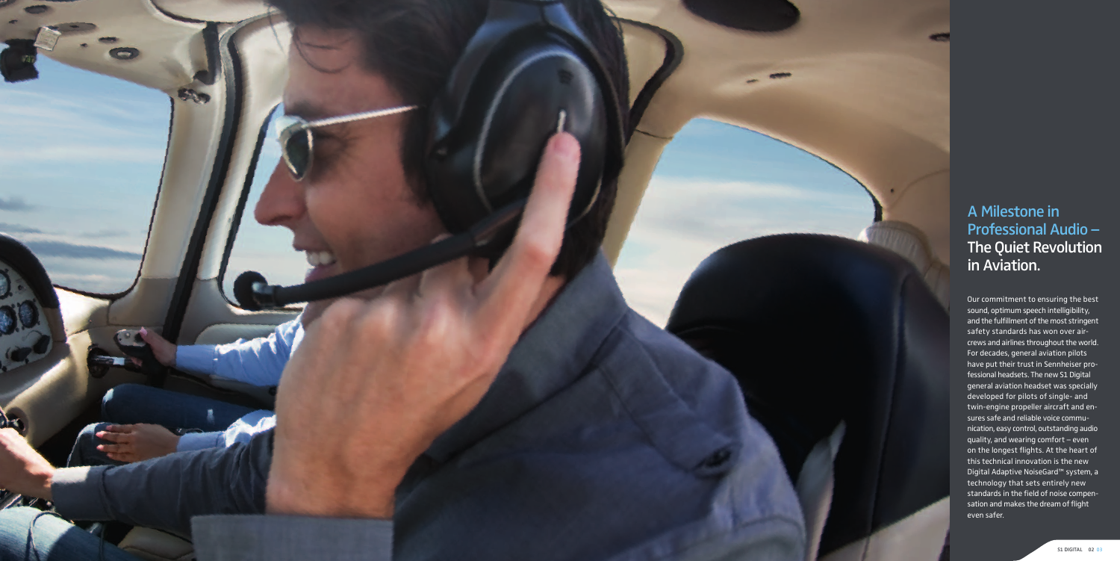

# A Milestone in Professional Audio – The Quiet Revolution in Aviation.

Our commitment to ensuring the best sound, optimum speech intelligibility, and the fulfillment of the most stringent safety standards has won over aircrews and airlines throughout the world. For decades, general aviation pilots have put their trust in Sennheiser professional headsets. The new S1 Digital general aviation headset was specially developed for pilots of single- and twin-engine propeller aircraft and ensures safe and reliable voice communication, easy control, outstanding audio quality, and wearing comfort – even on the longest flights. At the heart of this technical innovation is the new Digital Adaptive NoiseGard™ system, a technology that sets entirely new standards in the field of noise compensation and makes the dream of flight even safer.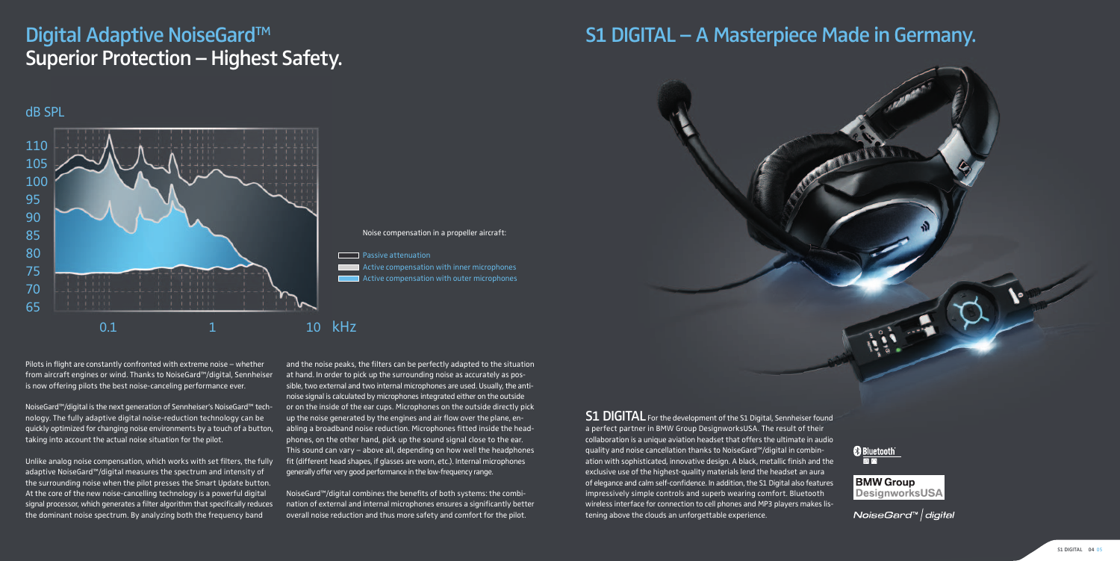# Digital Adaptive NoiseGard<sup>™</sup> Superior Protection – Highest Safety.

Pilots in flight are constantly confronted with extreme noise  $-$  whether from aircraft engines or wind. Thanks to NoiseGard™/digital, Sennheiser is now offering pilots the best noise-canceling performance ever.

NoiseGard™/digital is the next generation of Sennheiser's NoiseGard™ technology. The fully adaptive digital noise-reduction technology can be quickly optimized for changing noise environments by a touch of a button, taking into account the actual noise situation for the pilot.

Unlike analog noise compensation, which works with set filters, the fully adaptive NoiseGard™/digital measures the spectrum and intensity of the surrounding noise when the pilot presses the Smart Update button. At the core of the new noise-cancelling technology is a powerful digital signal processor, which generates a filter algorithm that specifically reduces the dominant noise spectrum. By analyzing both the frequency band

and the noise peaks, the filters can be perfectly adapted to the situation at hand. In order to pick up the surrounding noise as accurately as possible, two external and two internal microphones are used. Usually, the antinoise signal is calculated by microphones integrated either on the outside or on the inside of the ear cups. Microphones on the outside directly pick up the noise generated by the engines and air flow over the plane, enabling a broadband noise reduction. Microphones fitted inside the headphones, on the other hand, pick up the sound signal close to the ear. This sound can vary – above all, depending on how well the headphones fit (different head shapes, if glasses are worn, etc.). Internal microphones generally offer very good performance in the low-frequency range.

NoiseGard™/digital combines the benefits of both systems: the combination of external and internal microphones ensures a significantly better overall noise reduction and thus more safety and comfort for the pilot.

**S1 DIGITAL** For the development of the S1 Digital, Sennheiser found a perfect partner in BMW Group DesignworksUSA. The result of their collaboration is a unique aviation headset that offers the ultimate in audio quality and noise cancellation thanks to NoiseGard™/digital in combination with sophisticated, innovative design. A black, metallic finish and the exclusive use of the highest-quality materials lend the headset an aura of elegance and calm self-confidence. In addition, the S1 Digital also features impressively simple controls and superb wearing comfort. Bluetooth wireless interface for connection to cell phones and MP3 players makes listening above the clouds an unforgettable experience.

**B** Bluetooth

**BMW Group DesignworksUSA** 

NoiseGard™ | digital



# S1 DIGITAL – A Masterpiece Made in Germany.

dB SPL